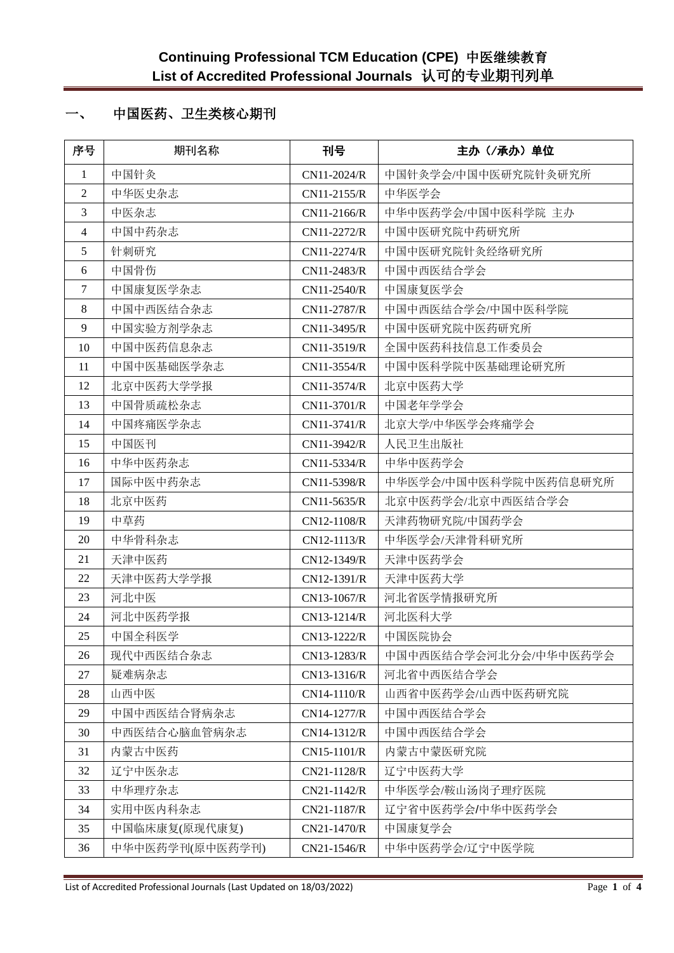# 一、 中国医药、卫生类核心期刊

| 序号             | 期刊名称            | 刊号          | 主办(/承办)单位             |
|----------------|-----------------|-------------|-----------------------|
| $\mathbf{1}$   | 中国针灸            | CN11-2024/R | 中国针灸学会/中国中医研究院针灸研究所   |
| 2              | 中华医史杂志          | CN11-2155/R | 中华医学会                 |
| 3              | 中医杂志            | CN11-2166/R | 中华中医药学会/中国中医科学院 主办    |
| $\overline{4}$ | 中国中药杂志          | CN11-2272/R | 中国中医研究院中药研究所          |
| 5              | 针刺研究            | CN11-2274/R | 中国中医研究院针灸经络研究所        |
| 6              | 中国骨伤            | CN11-2483/R | 中国中西医结合学会             |
| $\tau$         | 中国康复医学杂志        | CN11-2540/R | 中国康复医学会               |
| 8              | 中国中西医结合杂志       | CN11-2787/R | 中国中西医结合学会/中国中医科学院     |
| 9              | 中国实验方剂学杂志       | CN11-3495/R | 中国中医研究院中医药研究所         |
| 10             | 中国中医药信息杂志       | CN11-3519/R | 全国中医药科技信息工作委员会        |
| 11             | 中国中医基础医学杂志      | CN11-3554/R | 中国中医科学院中医基础理论研究所      |
| 12             | 北京中医药大学学报       | CN11-3574/R | 北京中医药大学               |
| 13             | 中国骨质疏松杂志        | CN11-3701/R | 中国老年学学会               |
| 14             | 中国疼痛医学杂志        | CN11-3741/R | 北京大学/中华医学会疼痛学会        |
| 15             | 中国医刊            | CN11-3942/R | 人民卫生出版社               |
| 16             | 中华中医药杂志         | CN11-5334/R | 中华中医药学会               |
| 17             | 国际中医中药杂志        | CN11-5398/R | 中华医学会/中国中医科学院中医药信息研究所 |
| 18             | 北京中医药           | CN11-5635/R | 北京中医药学会/北京中西医结合学会     |
| 19             | 中草药             | CN12-1108/R | 天津药物研究院/中国药学会         |
| 20             | 中华骨科杂志          | CN12-1113/R | 中华医学会/天津骨科研究所         |
| 21             | 天津中医药           | CN12-1349/R | 天津中医药学会               |
| $22\,$         | 天津中医药大学学报       | CN12-1391/R | 天津中医药大学               |
| 23             | 河北中医            | CN13-1067/R | 河北省医学情报研究所            |
| 24             | 河北中医药学报         | CN13-1214/R | 河北医科大学                |
| 25             | 中国全科医学          | CN13-1222/R | 中国医院协会                |
| 26             | 现代中西医结合杂志       | CN13-1283/R | 中国中西医结合学会河北分会/中华中医药学会 |
| 27             | 疑难病杂志           | CN13-1316/R | 河北省中西医结合学会            |
| 28             | 山西中医            | CN14-1110/R | 山西省中医药学会/山西中医药研究院     |
| 29             | 中国中西医结合肾病杂志     | CN14-1277/R | 中国中西医结合学会             |
| 30             | 中西医结合心脑血管病杂志    | CN14-1312/R | 中国中西医结合学会             |
| 31             | 内蒙古中医药          | CN15-1101/R | 内蒙古中蒙医研究院             |
| 32             | 辽宁中医杂志          | CN21-1128/R | 辽宁中医药大学               |
| 33             | 中华理疗杂志          | CN21-1142/R | 中华医学会/鞍山汤岗子理疗医院       |
| 34             | 实用中医内科杂志        | CN21-1187/R | 辽宁省中医药学会/中华中医药学会      |
| 35             | 中国临床康复(原现代康复)   | CN21-1470/R | 中国康复学会                |
| 36             | 中华中医药学刊(原中医药学刊) | CN21-1546/R | 中华中医药学会/辽宁中医学院        |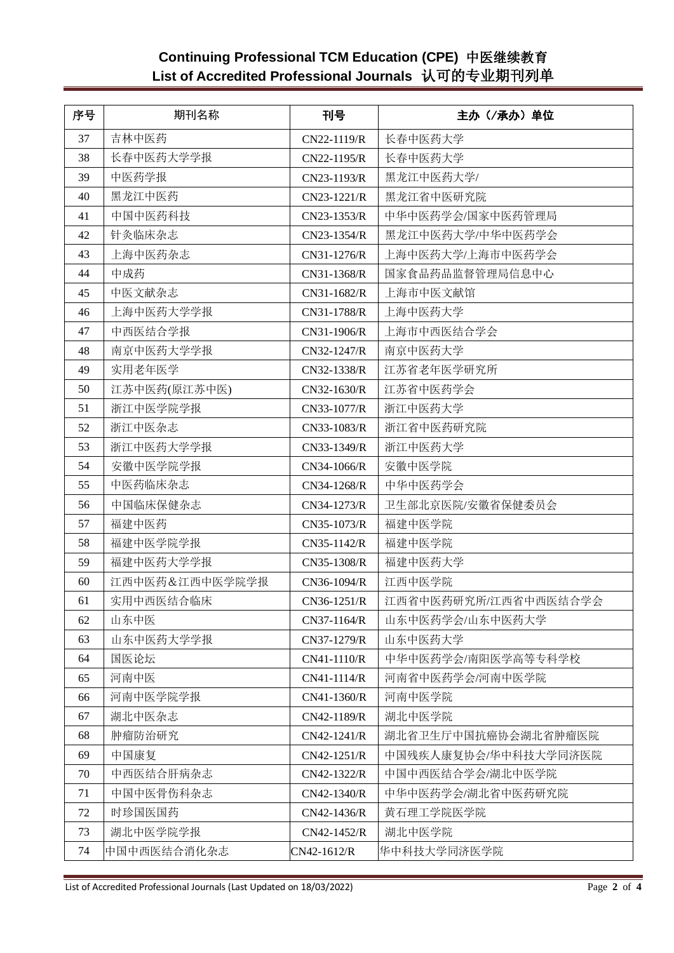# **Continuing Professional TCM Education (CPE)** 中医继续教育 **List of Accredited Professional Journals** 认可的专业期刊列单

| 序号 | 期刊名称           | 刊号          | 主办 (/承办) 单位          |
|----|----------------|-------------|----------------------|
| 37 | 吉林中医药          | CN22-1119/R | 长春中医药大学              |
| 38 | 长春中医药大学学报      | CN22-1195/R | 长春中医药大学              |
| 39 | 中医药学报          | CN23-1193/R | 黑龙江中医药大学/            |
| 40 | 黑龙江中医药         | CN23-1221/R | 黑龙江省中医研究院            |
| 41 | 中国中医药科技        | CN23-1353/R | 中华中医药学会/国家中医药管理局     |
| 42 | 针灸临床杂志         | CN23-1354/R | 黑龙江中医药大学/中华中医药学会     |
| 43 | 上海中医药杂志        | CN31-1276/R | 上海中医药大学/上海市中医药学会     |
| 44 | 中成药            | CN31-1368/R | 国家食品药品监督管理局信息中心      |
| 45 | 中医文献杂志         | CN31-1682/R | 上海市中医文献馆             |
| 46 | 上海中医药大学学报      | CN31-1788/R | 上海中医药大学              |
| 47 | 中西医结合学报        | CN31-1906/R | 上海市中西医结合学会           |
| 48 | 南京中医药大学学报      | CN32-1247/R | 南京中医药大学              |
| 49 | 实用老年医学         | CN32-1338/R | 江苏省老年医学研究所           |
| 50 | 江苏中医药(原江苏中医)   | CN32-1630/R | 江苏省中医药学会             |
| 51 | 浙江中医学院学报       | CN33-1077/R | 浙江中医药大学              |
| 52 | 浙江中医杂志         | CN33-1083/R | 浙江省中医药研究院            |
| 53 | 浙江中医药大学学报      | CN33-1349/R | 浙江中医药大学              |
| 54 | 安徽中医学院学报       | CN34-1066/R | 安徽中医学院               |
| 55 | 中医药临床杂志        | CN34-1268/R | 中华中医药学会              |
| 56 | 中国临床保健杂志       | CN34-1273/R | 卫生部北京医院/安徽省保健委员会     |
| 57 | 福建中医药          | CN35-1073/R | 福建中医学院               |
| 58 | 福建中医学院学报       | CN35-1142/R | 福建中医学院               |
| 59 | 福建中医药大学学报      | CN35-1308/R | 福建中医药大学              |
| 60 | 江西中医药&江西中医学院学报 | CN36-1094/R | 江西中医学院               |
| 61 | 实用中西医结合临床      | CN36-1251/R | 江西省中医药研究所/江西省中西医结合学会 |
| 62 | 山东中医           | CN37-1164/R | 山东中医药学会/山东中医药大学      |
| 63 | 山东中医药大学学报      | CN37-1279/R | 山东中医药大学              |
| 64 | 国医论坛           | CN41-1110/R | 中华中医药学会/南阳医学高等专科学校   |
| 65 | 河南中医           | CN41-1114/R | 河南省中医药学会/河南中医学院      |
| 66 | 河南中医学院学报       | CN41-1360/R | 河南中医学院               |
| 67 | 湖北中医杂志         | CN42-1189/R | 湖北中医学院               |
| 68 | 肿瘤防治研究         | CN42-1241/R | 湖北省卫生厅中国抗癌协会湖北省肿瘤医院  |
| 69 | 中国康复           | CN42-1251/R | 中国残疾人康复协会/华中科技大学同济医院 |
| 70 | 中西医结合肝病杂志      | CN42-1322/R | 中国中西医结合学会/湖北中医学院     |
| 71 | 中国中医骨伤科杂志      | CN42-1340/R | 中华中医药学会/湖北省中医药研究院    |
| 72 | 时珍国医国药         | CN42-1436/R | 黄石理工学院医学院            |
| 73 | 湖北中医学院学报       | CN42-1452/R | 湖北中医学院               |
| 74 | 中国中西医结合消化杂志    | CN42-1612/R | 华中科技大学同济医学院          |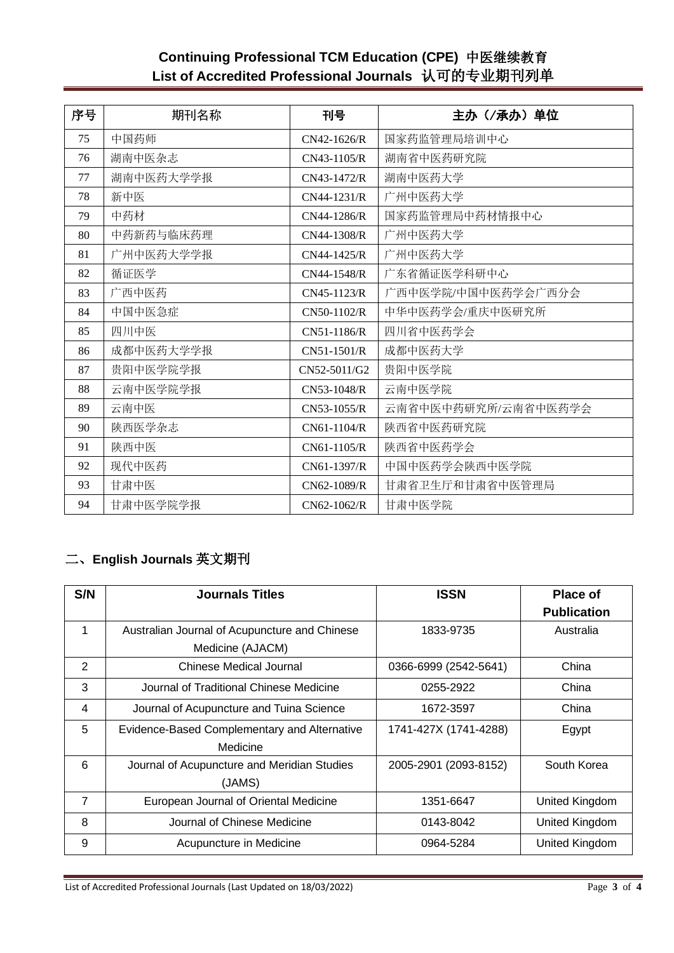# **Continuing Professional TCM Education (CPE)** 中医继续教育 **List of Accredited Professional Journals** 认可的专业期刊列单

| 序号 | 期刊名称      | 刊号            | 主办(/承办)单位           |
|----|-----------|---------------|---------------------|
| 75 | 中国药师      | $CN42-1626/R$ | 国家药监管理局培训中心         |
| 76 | 湖南中医杂志    | CN43-1105/R   | 湖南省中医药研究院           |
| 77 | 湖南中医药大学学报 | CN43-1472/R   | 湖南中医药大学             |
| 78 | 新中医       | CN44-1231/R   | 广州中医药大学             |
| 79 | 中药材       | CN44-1286/R   | 国家药监管理局中药材情报中心      |
| 80 | 中药新药与临床药理 | CN44-1308/R   | 广州中医药大学             |
| 81 | 广州中医药大学学报 | CN44-1425/R   | 广州中医药大学             |
| 82 | 循证医学      | CN44-1548/R   | 广东省循证医学科研中心         |
| 83 | 广西中医药     | CN45-1123/R   | 广西中医学院/中国中医药学会广西分会  |
| 84 | 中国中医急症    | CN50-1102/R   | 中华中医药学会/重庆中医研究所     |
| 85 | 四川中医      | CN51-1186/R   | 四川省中医药学会            |
| 86 | 成都中医药大学学报 | CN51-1501/R   | 成都中医药大学             |
| 87 | 贵阳中医学院学报  | CN52-5011/G2  | 贵阳中医学院              |
| 88 | 云南中医学院学报  | CN53-1048/R   | 云南中医学院              |
| 89 | 云南中医      | CN53-1055/R   | 云南省中医中药研究所/云南省中医药学会 |
| 90 | 陕西医学杂志    | $CN61-1104/R$ | 陕西省中医药研究院           |
| 91 | 陕西中医      | CN61-1105/R   | 陕西省中医药学会            |
| 92 | 现代中医药     | CN61-1397/R   | 中国中医药学会陕西中医学院       |
| 93 | 甘肃中医      | CN62-1089/R   | 甘肃省卫生厅和甘肃省中医管理局     |
| 94 | 甘肃中医学院学报  | CN62-1062/R   | 甘肃中医学院              |

# 二、**English Journals** 英文期刊

| S/N            | <b>Journals Titles</b>                        | <b>ISSN</b>           | <b>Place of</b>    |
|----------------|-----------------------------------------------|-----------------------|--------------------|
|                |                                               |                       | <b>Publication</b> |
| 1              | Australian Journal of Acupuncture and Chinese | 1833-9735             | Australia          |
|                | Medicine (AJACM)                              |                       |                    |
| 2              | Chinese Medical Journal                       | 0366-6999 (2542-5641) | China              |
| 3              | Journal of Traditional Chinese Medicine       | 0255-2922             | China              |
| 4              | Journal of Acupuncture and Tuina Science      | 1672-3597             | China              |
| 5              | Evidence-Based Complementary and Alternative  | 1741-427X (1741-4288) | Egypt              |
|                | Medicine                                      |                       |                    |
| 6              | Journal of Acupuncture and Meridian Studies   | 2005-2901 (2093-8152) | South Korea        |
|                | (JAMS)                                        |                       |                    |
| $\overline{7}$ | European Journal of Oriental Medicine         | 1351-6647             | United Kingdom     |
| 8              | Journal of Chinese Medicine                   | 0143-8042             | United Kingdom     |
| 9              | Acupuncture in Medicine                       | 0964-5284             | United Kingdom     |